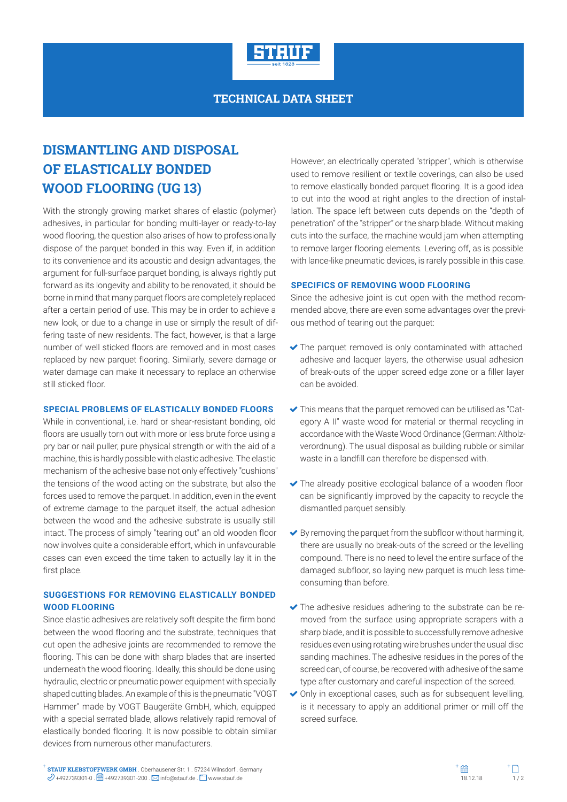

## **TECHNICAL DATA SHEET**

# **DISMANTLING AND DISPOSAL OF ELASTICALLY BONDED WOOD FLOORING (UG 13)**

With the strongly growing market shares of elastic (polymer) adhesives, in particular for bonding multi-layer or ready-to-lay wood flooring, the question also arises of how to professionally dispose of the parquet bonded in this way. Even if, in addition to its convenience and its acoustic and design advantages, the argument for full-surface parquet bonding, is always rightly put forward as its longevity and ability to be renovated, it should be borne in mind that many parquet floors are completely replaced after a certain period of use. This may be in order to achieve a new look, or due to a change in use or simply the result of differing taste of new residents. The fact, however, is that a large number of well sticked floors are removed and in most cases replaced by new parquet flooring. Similarly, severe damage or water damage can make it necessary to replace an otherwise still sticked floor.

#### **SPECIAL PROBLEMS OF ELASTICALLY BONDED FLOORS**

While in conventional, i.e. hard or shear-resistant bonding, old floors are usually torn out with more or less brute force using a pry bar or nail puller, pure physical strength or with the aid of a machine, this is hardly possible with elastic adhesive. The elastic mechanism of the adhesive base not only effectively "cushions" the tensions of the wood acting on the substrate, but also the forces used to remove the parquet. In addition, even in the event of extreme damage to the parquet itself, the actual adhesion between the wood and the adhesive substrate is usually still intact. The process of simply "tearing out" an old wooden floor now involves quite a considerable effort, which in unfavourable cases can even exceed the time taken to actually lay it in the first place.

## **SUGGESTIONS FOR REMOVING ELASTICALLY BONDED WOOD FLOORING**

Since elastic adhesives are relatively soft despite the firm bond between the wood flooring and the substrate, techniques that cut open the adhesive joints are recommended to remove the flooring. This can be done with sharp blades that are inserted underneath the wood flooring. Ideally, this should be done using hydraulic, electric or pneumatic power equipment with specially shaped cutting blades. An example of this is the pneumatic "VOGT Hammer" made by VOGT Baugeräte GmbH, which, equipped with a special serrated blade, allows relatively rapid removal of elastically bonded flooring. It is now possible to obtain similar devices from numerous other manufacturers.

However, an electrically operated "stripper", which is otherwise used to remove resilient or textile coverings, can also be used to remove elastically bonded parquet flooring. It is a good idea to cut into the wood at right angles to the direction of installation. The space left between cuts depends on the "depth of penetration" of the "stripper" or the sharp blade. Without making cuts into the surface, the machine would jam when attempting to remove larger flooring elements. Levering off, as is possible with lance-like pneumatic devices, is rarely possible in this case.

#### **SPECIFICS OF REMOVING WOOD FLOORING**

Since the adhesive joint is cut open with the method recommended above, there are even some advantages over the previous method of tearing out the parquet:

- The parquet removed is only contaminated with attached adhesive and lacquer layers, the otherwise usual adhesion of break-outs of the upper screed edge zone or a filler layer can be avoided.
- This means that the parquet removed can be utilised as "Category A II" waste wood for material or thermal recycling in accordance with the Waste Wood Ordinance (German: Altholzverordnung). The usual disposal as building rubble or similar waste in a landfill can therefore be dispensed with.
- The already positive ecological balance of a wooden floor can be significantly improved by the capacity to recycle the dismantled parquet sensibly.
- $\blacktriangleright$  By removing the parquet from the subfloor without harming it, there are usually no break-outs of the screed or the levelling compound. There is no need to level the entire surface of the damaged subfloor, so laying new parquet is much less timeconsuming than before.
- The adhesive residues adhering to the substrate can be removed from the surface using appropriate scrapers with a sharp blade, and it is possible to successfully remove adhesive residues even using rotating wire brushes under the usual disc sanding machines. The adhesive residues in the pores of the screed can, of course, be recovered with adhesive of the same type after customary and careful inspection of the screed.
- ◆ Only in exceptional cases, such as for subsequent levelling, is it necessary to apply an additional primer or mill off the screed surface.

**STAUF KLEBSTOFFWERK GMBH** . Oberhausener Str. 1 . 57234 Wilnsdorf . Germany **STAUF KLEBSTOFFWERK GMBH** . Oberhausener Str. 1 . 57234 Wilnsdorf . Germany  $\mathscr{D}$  +492739301-0 .  $\Box$  +492739301-200 .  $\boxtimes$  info@stauf.de .  $\Box$  www.stauf.de .  $\Box$  www.stauf.de .  $\Box$  . 1/ 2